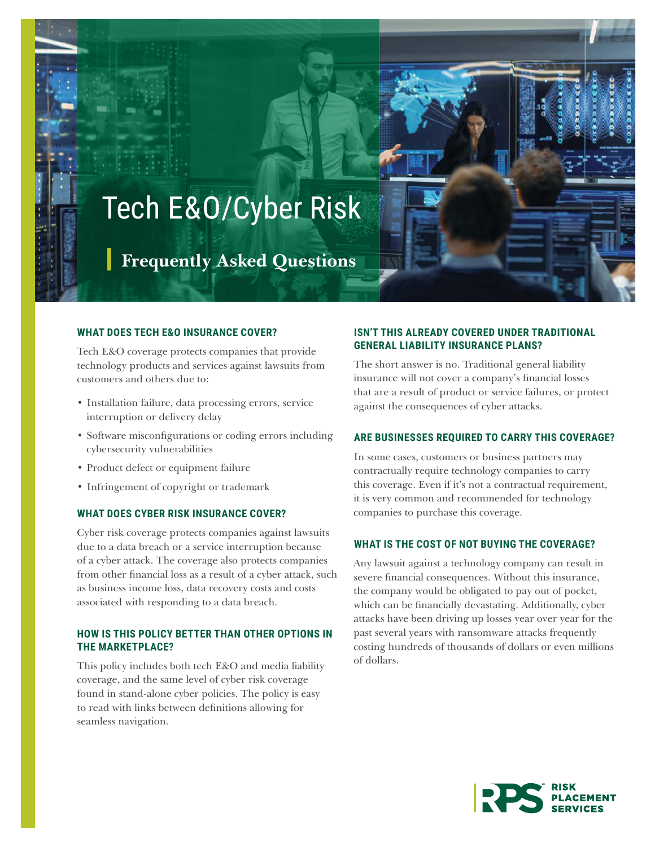# Tech E&O/Cyber Risk

**Frequently Asked Questions**

#### **WHAT DOES TECH E&O INSURANCE COVER?**

Tech E&O coverage protects companies that provide technology products and services against lawsuits from customers and others due to:

- Installation failure, data processing errors, service interruption or delivery delay
- Software misconfigurations or coding errors including cybersecurity vulnerabilities
- Product defect or equipment failure
- Infringement of copyright or trademark

#### **WHAT DOES CYBER RISK INSURANCE COVER?**

Cyber risk coverage protects companies against lawsuits due to a data breach or a service interruption because of a cyber attack. The coverage also protects companies from other financial loss as a result of a cyber attack, such as business income loss, data recovery costs and costs associated with responding to a data breach.

## **HOW IS THIS POLICY BETTER THAN OTHER OPTIONS IN THE MARKETPLACE?**

This policy includes both tech E&O and media liability coverage, and the same level of cyber risk coverage found in stand-alone cyber policies. The policy is easy to read with links between definitions allowing for seamless navigation.

## **ISN'T THIS ALREADY COVERED UNDER TRADITIONAL GENERAL LIABILITY INSURANCE PLANS?**

The short answer is no. Traditional general liability insurance will not cover a company's financial losses that are a result of product or service failures, or protect against the consequences of cyber attacks.

#### **ARE BUSINESSES REQUIRED TO CARRY THIS COVERAGE?**

In some cases, customers or business partners may contractually require technology companies to carry this coverage. Even if it's not a contractual requirement, it is very common and recommended for technology companies to purchase this coverage.

#### **WHAT IS THE COST OF NOT BUYING THE COVERAGE?**

Any lawsuit against a technology company can result in severe financial consequences. Without this insurance, the company would be obligated to pay out of pocket, which can be financially devastating. Additionally, cyber attacks have been driving up losses year over year for the past several years with ransomware attacks frequently costing hundreds of thousands of dollars or even millions of dollars.